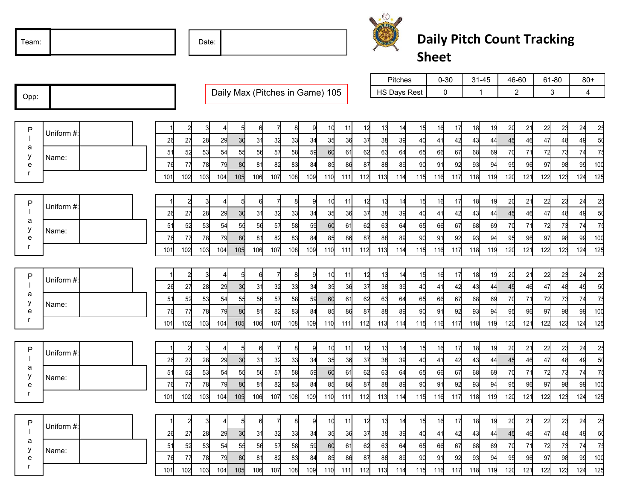Date:



## **Daily Pitch Count Tracking Sheet**

|                             |            |                            |                      |                                 |            |     |                |     | Pitches |                     | $0 - 30$ |     | $31 - 45$ |     | 46-60          |       | 61-80 |     | $80+$      |  |
|-----------------------------|------------|----------------------------|----------------------|---------------------------------|------------|-----|----------------|-----|---------|---------------------|----------|-----|-----------|-----|----------------|-------|-------|-----|------------|--|
| Opp:                        |            |                            |                      | Daily Max (Pitches in Game) 105 |            |     |                |     |         | <b>HS Days Rest</b> |          | 0   | 1         |     | $\overline{c}$ |       | 3     |     | 4          |  |
|                             |            |                            |                      |                                 |            |     |                |     |         |                     |          |     |           |     |                |       |       |     |            |  |
|                             |            |                            |                      |                                 |            |     |                |     |         |                     |          |     |           |     |                |       |       |     |            |  |
| P                           |            | $\overline{2}$             |                      | 6                               | 8<br>9     | 10  | 11             | 12  | 13      | 15<br>14            | 16       | 17  | 18        | 19  | 20             | 21    | 22    | 23  | 25<br>24   |  |
|                             | Uniform #: | 26<br>27<br>28             | 30<br>2 <sub>9</sub> | 31<br>32                        | 33<br>34   | 35  | 36             | 37  | 38      | 39<br>40            | 41       | 42  | 43        | 44  | 45             | 46    | 47    | 48  | 49<br>50   |  |
| a                           |            | 51<br>52<br>53             | 55<br>54             | 56<br>57                        | 58<br>59   | 60  | 61             | 62  | 63      | 64<br>65            | 66       | 67  | 68        | 69  | 70             | 71    | 72    | 73  | 75<br>74   |  |
| у<br>e                      | Name:      | 76<br>77<br>78             | 80<br>79             | 81<br>82                        | 84<br>83   | 85  | 86             | 87  | 88      | 89<br>90            | 91       | 92  | 93        | 94  | 95             | 96    | 97    | 98  | 100<br>99  |  |
| r                           |            | 101<br>102<br>103          | 104<br>105           | 106<br>107                      | 108<br>109 | 110 | 111            | 112 | 113     | 114<br>115          | 116      | 117 | 118       | 119 | 120            | 121   | 122   | 123 | 125<br>124 |  |
|                             |            |                            |                      |                                 |            |     |                |     |         |                     |          |     |           |     |                |       |       |     |            |  |
|                             |            | $\overline{a}$             | 5<br>4               | 6                               | 8<br>9     | 10  | 11             | 12  | 13      | 15<br>14            | 16       | 17  | 18        | 19  | 20             | 21    | 22    | 23  | 25<br>24   |  |
| P                           | Uniform #: | 26<br>27<br>28             | 30<br>29             | 32<br>31                        | 34<br>33   | 35  | 36             | 37  | 38      | 39<br>40            | 41       | 42  | 43        | 44  | 45             | 46    | 47    | 48  | 50<br>49   |  |
| a                           |            | 51<br>52<br>53             | 55<br>54             | 56<br>57                        | 58<br>59   | 60  | 61             | 62  | 63      | 65<br>64            | 66       | 67  | 68        | 69  | 70             | 71    | 72    | 73  | 75<br>74   |  |
| у<br>e                      | Name:      | 76<br>77<br>78             | 80<br>79             | 81<br>82                        | 83<br>84   | 85  | 86             | 87  | 88      | 89<br>90            | 91       | 92  | 93        | 94  | 95             | 96    | 97    | 98  | 100<br>99  |  |
| $\mathsf{r}$                |            | 102<br>101<br>103          | 105<br>104           | 106<br>107                      | 109<br>108 | 110 | 111            | 112 | 113     | 114<br>115          | 116      | 117 | 118       | 119 | 120            | $121$ | 122   | 123 | 125<br>124 |  |
|                             |            |                            |                      |                                 |            |     |                |     |         |                     |          |     |           |     |                |       |       |     |            |  |
|                             |            |                            |                      |                                 |            |     |                |     |         |                     |          |     |           |     |                |       |       |     |            |  |
| P                           | Uniform #: | $\overline{2}$             | 5<br>$\overline{4}$  | 6                               | 8<br>9     | 10  | 11             | 12  | 13      | 15<br>14            | 16       | 17  | 18        | 19  | 20             | 21    | 22    | 23  | 24<br>25   |  |
| a                           |            | 26<br>28<br>27             | 30<br>29             | 32<br>31                        | 34<br>33   | 35  | 36             | 37  | 38      | 39<br>40            | 41       | 42  | 43        | 44  | 45             | 46    | 47    | 48  | 50<br>49   |  |
| у                           | Name:      | 51<br>52<br>53             | 55<br>54             | 56<br>57                        | 59<br>58   | 60  | 6 <sup>1</sup> | 62  | 63      | 64<br>65            | 66       | 67  | 68        | 69  | 70             | 71    | 72    | 73  | 75<br>74   |  |
| $\mathbf e$<br>$\mathsf{r}$ |            | 76<br>77<br>78             | 80<br>79             | 81<br>82                        | 84<br>83   | 85  | 86             | 87  | 88      | 89<br>90            | 91       | 92  | 93        | 94  | 95             | 96    | 97    | 98  | 99<br>100  |  |
|                             |            | 101<br>102<br>103          | 105<br>104           | 106<br>107                      | 108<br>109 | 110 | 111            | 112 | 113     | 114<br>115          | 116      | 117 | 118       | 119 | 120            | 121   | 122   | 123 | 125<br>124 |  |
|                             |            |                            |                      |                                 |            |     |                |     |         |                     |          |     |           |     |                |       |       |     |            |  |
| P                           | Uniform #: | $\overline{2}$             |                      | 6                               | 8<br>9     | 10  | 11             | 12  | 13      | 15<br>14            | 16       | 17  | 18        | 19  | 20             | 21    | 22    | 23  | 25<br>24   |  |
| a                           |            | 27<br>26<br>28             | 30<br>29             | 31<br>32                        | 34<br>33   | 35  | 36             | 37  | 38      | 39<br>40            | 41       | 42  | 43        | 44  | 45             | 46    | 47    | 48  | 50<br>49   |  |
| у                           | Name:      | 51<br>52<br>53             | 55<br>54             | 56<br>57                        | 58<br>59   | 60  | 61             | 62  | 63      | 64<br>65            | 66       | 67  | 68        | 69  | 70             | 71    | 72    | 73  | 75<br>74   |  |
| e<br>r                      |            | 76<br>77<br>78             | 80<br>79             | 81<br>82                        | 84<br>83   | 85  | 86             | 87  | 88      | 89<br>90            | 91       | 92  | 93        | 94  | 95             | 96    | 97    | 98  | 100<br>99  |  |
|                             |            | 102<br>101<br>103          | 104<br>105           | 106<br>107                      | 108<br>109 | 110 | 111            | 112 | 113     | 114<br>115          | 116      | 117 | 118       | 119 | 120            | $121$ | 122   | 123 | 125<br>124 |  |
|                             |            |                            |                      |                                 |            |     |                |     |         |                     |          |     |           |     |                |       |       |     |            |  |
| P<br>a                      | Uniform #: | $\overline{2}$             | 5<br>$\overline{4}$  | 6                               | 8<br>9     | 10  | 11             | 12  | 13      | 15<br>14            | 16       | 17  | 18        | 19  | 20             | 21    | 22    | 23  | 25<br>24   |  |
|                             |            | 28<br>26<br>27             | 30<br>29             | 32<br>31                        | 34<br>33   | 35  | 36             | 37  | 38      | 39<br>40            | 41       | 42  | 43        | 44  | 45             | 46    | 47    | 48  | 50<br>49   |  |
| у                           | Name:      | 5 <sup>′</sup><br>52<br>53 | 55<br>54             | 56<br>57                        | 59<br>58   | 60  | 61             | 62  | 63      | 64<br>65            | 66       | 67  | 68        | 69  | 70             | 71    | 72    | 73  | 75<br>74   |  |
| e                           |            | 76<br>77<br>78             | 80<br>79             | 81<br>82                        | 84<br>83   | 85  | 86             | 87  | 88      | 89<br>90            | 91       | 92  | 93        | 94  | 95             | 96    | 97    | 98  | 99<br>100  |  |
| r                           |            | 101<br>102<br>103          | 104<br>105           | 106<br>107                      | 109<br>108 | 110 | 111            | 112 | 113     | 114<br>115          | 116      | 117 | 118       | 119 | 120            | 121   | 122   | 123 | 125<br>124 |  |